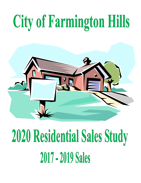# City of Farmington Hills



## 2020 Residential Sales Study 2017 - 2019 Sales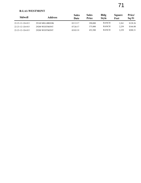### **R-LA1-WESTMONT**

| <b>Sidwell</b>   | Address         | <b>Sales</b><br>Date | Sales<br>Price | <b>Bldg</b><br><b>Style</b> | <b>Square</b><br>Feet | Price/<br>Sq Ft |
|------------------|-----------------|----------------------|----------------|-----------------------------|-----------------------|-----------------|
| 22-23-12-126-013 | 29140 MILLBROOK | 03/13/17             | 290,000        | <b>RANCH</b>                | 2.261                 | \$128.26        |
| 22-23-12-126-015 | 29200 WESTMONT  | 07/26/17             | 375,000        | <b>RANCH</b>                | 2.259                 | \$166.00        |
| 22-23-12-126-015 | 29200 WESTMONT  | 05/03/19             | 452,500        | <b>RANCH</b>                | 2,259                 | \$200.31        |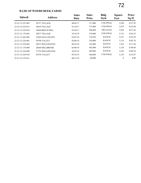### **R-LB1-SP WOODCREEK FARMS**

| <b>Sidwell</b>   | <b>Address</b>      | <b>Sales</b><br>Date | <b>Sales</b><br><b>Price</b> | <b>Bldg</b><br><b>Style</b> | <b>Square</b><br>Feet | Price/<br>Sq Ft |
|------------------|---------------------|----------------------|------------------------------|-----------------------------|-----------------------|-----------------|
| 22-23-12-252-002 | 28727 VILLAGE       | 06/02/17             | 317,000                      | <b>COLONIAL</b>             | 2,298                 | \$137.95        |
| 22-23-12-252-013 | 28639 VILLAGE       | 01/24/17             | 375,000                      | <b>COLONIAL</b>             | 2,979                 | \$125.88        |
| 22-23-12-329-010 | 28404 BEECH HILL    | 03/30/17             | 500,000                      | <b>TRI-LEVEL</b>            | 3,924                 | \$127.42        |
| 22-23-12-176-001 | 28877 VILLAGE       | 10/16/18             | 370,000                      | <b>COLONIAL</b>             | 2,716                 | \$136.23        |
| 22-23-12-202-002 | 27869 OLD COLONY    | 03/07/18             | 319,956                      | <b>RANCH</b>                | 2,551                 | \$125.42        |
| 22-23-12-226-001 | 30790 VALLEY        | 02/06/18             | 320,000                      | <b>RANCH</b>                | 3,114                 | \$102.76        |
| 22-23-12-254-002 | 28075 WELLINGTON    | 08/16/18             | 165,000                      | <b>RANCH</b>                | 1,474                 | \$111.94        |
| 22-23-12-178-009 | 28660 MILLBROOK     | 05/09/19             | 465,000                      | <b>RANCH</b>                | 3,128                 | \$148.66        |
| 22-23-12-226-009 | 27726 WELLINGTON    | 10/25/19             | 499,900                      | <b>RANCH</b>                | 3,343                 | \$149.54        |
| 22-23-12-226-010 | <b>30750 VALLEY</b> | 05/16/19             | 360,000                      | <b>COLONIAL</b>             | 3,134                 | \$114.87        |
| 22-23-12-276-011 |                     | 08/13/19             | 60,000                       |                             | $\theta$              | \$.00           |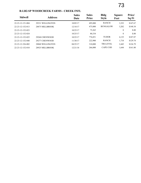#### **R-LB2-SP WOODCREEK FARMS - CREEK INFL**

| <b>Sidwell</b>   | <b>Address</b>   | <b>Sales</b><br>Date | <b>Sales</b><br>Price | <b>Bldg</b><br><b>Style</b> | <b>Square</b><br>Feet | Price/<br>Sq Ft |
|------------------|------------------|----------------------|-----------------------|-----------------------------|-----------------------|-----------------|
| 22-23-12-151-004 | 29331 WELLINGTON | 10/05/17             | 495,000               | <b>RANCH</b>                | 3,352                 | \$147.67        |
| 22-23-12-152-013 | 28875 MILLBROOK  | 12/18/17             | 475,000               | <b>BUNGALOW</b>             | 3,202                 | \$148.34        |
| 22-23-12-152-023 |                  | 10/25/17             | 75,265                |                             | $\theta$              | \$.00           |
| 22-23-12-152-024 |                  | 10/25/17             | 80,334                |                             | $\mathbf{0}$          | \$.00           |
| 22-23-12-152-025 | 29260 CHENWOOD   | 10/25/17             | 776,851               | <b>TUDOR</b>                | 4,135                 | \$187.87        |
| 22-23-12-152-040 | 29277 CHENWOOD   | 11/30/17             | 222,900               | <b>RANCH</b>                | 1,718                 | \$129.74        |
| 22-23-12-326-002 | 28860 WELLINGTON | 04/25/17             | 310,000               | <b>TRI-LEVEL</b>            | 2,445                 | \$126.79        |
| 22-23-12-152-010 | 28925 MILLBROOK  | 12/21/18             | 266,000               | CAPE COD                    | 1,644                 | \$161.80        |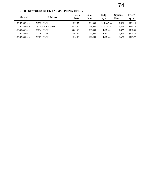### **R-LB3-SP WOODCREEK FARMS-SPRING-UTLEY**

| <b>Sidwell</b>   | <b>Address</b>     | <b>Sales</b><br>Date | <b>Sales</b><br>Price | <b>Bldg</b><br><b>Style</b> | <b>Square</b><br>Feet | Price/<br>Sq Ft |
|------------------|--------------------|----------------------|-----------------------|-----------------------------|-----------------------|-----------------|
| 22-23-12-302-012 | 29230 UTLEY        | 10/27/17             | 294,000               | <b>TRI-LEVEL</b>            | 2,823                 | \$104.14        |
| 22-23-12-302-010 | 28921 WELLINGTON   | 03/15/19             | 458,000               | <b>COLONIAL</b>             | 3,389                 | \$135.14        |
| 22-23-12-302-013 | <b>29204 UTLEY</b> | 04/01/19             | 295,000               | <b>RANCH</b>                | 2.077                 | \$142.03        |
| 22-23-12-302-017 | <b>29098 UTLEY</b> | 10/07/19             | 240,000               | <b>RANCH</b>                | 1.930                 | \$124.35        |
| 22-23-12-303-010 | <b>29015 UTLEY</b> | 10/18/19             | 211,500               | <b>RANCH</b>                | 1,679                 | \$125.97        |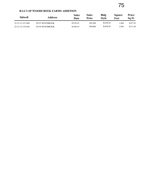#### **R-LC1-SP WOODCREEK FARMS ADDITION**

| Sidwell          | Address         | <b>Sales</b><br>Date | Sales<br>Price | <b>Bldg</b><br>Stvle | Square<br>Feet | Price/<br>Sa Ft |
|------------------|-----------------|----------------------|----------------|----------------------|----------------|-----------------|
| 22-23-12-351-004 | 28155 WESTBROOK | 0.5/29/19            | 389,500        | <b>RANCH</b>         | .968           | \$197.92        |
| 22-23-12-376-036 | 28150 WESTBROOK | 03/04/19             | 390,000        | <b>RANCH</b>         | 2.956          | \$131.94        |